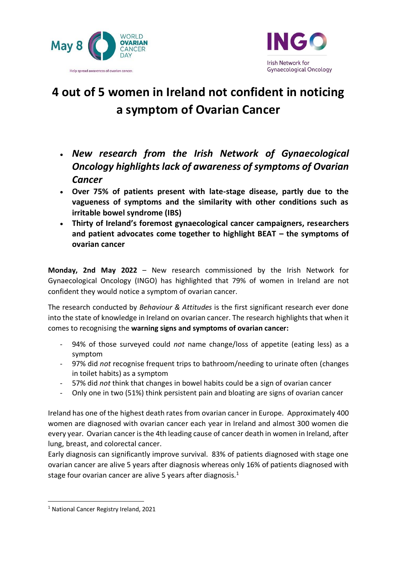



# **4 out of 5 women in Ireland not confident in noticing a symptom of Ovarian Cancer**

- *New research from the Irish Network of Gynaecological Oncology highlights lack of awareness of symptoms of Ovarian Cancer*
- **Over 75% of patients present with late-stage disease, partly due to the vagueness of symptoms and the similarity with other conditions such as irritable bowel syndrome (IBS)**
- **Thirty of Ireland's foremost gynaecological cancer campaigners, researchers and patient advocates come together to highlight BEAT – the symptoms of ovarian cancer**

**Monday, 2nd May 2022** – New research commissioned by the Irish Network for Gynaecological Oncology (INGO) has highlighted that 79% of women in Ireland are not confident they would notice a symptom of ovarian cancer.

The research conducted by *Behaviour & Attitudes* is the first significant research ever done into the state of knowledge in Ireland on ovarian cancer. The research highlights that when it comes to recognising the **warning signs and symptoms of ovarian cancer:**

- 94% of those surveyed could *not* name change/loss of appetite (eating less) as a symptom
- 97% did *not* recognise frequent trips to bathroom/needing to urinate often (changes in toilet habits) as a symptom
- 57% did *not* think that changes in bowel habits could be a sign of ovarian cancer
- Only one in two (51%) think persistent pain and bloating are signs of ovarian cancer

Ireland has one of the highest death rates from ovarian cancer in Europe. Approximately 400 women are diagnosed with ovarian cancer each year in Ireland and almost 300 women die every year. Ovarian cancer is the 4th leading cause of cancer death in women in Ireland, after lung, breast, and colorectal cancer.

Early diagnosis can significantly improve survival. 83% of patients diagnosed with stage one ovarian cancer are alive 5 years after diagnosis whereas only 16% of patients diagnosed with stage four ovarian cancer are alive 5 years after diagnosis. $1$ 

<sup>1</sup> National Cancer Registry Ireland, 2021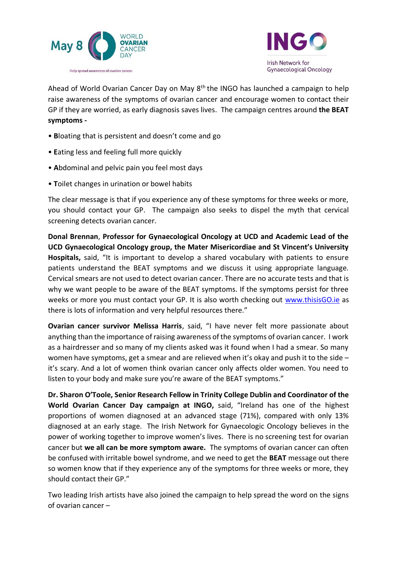



Ahead of World Ovarian Cancer Day on May 8<sup>th</sup> the INGO has launched a campaign to help raise awareness of the symptoms of ovarian cancer and encourage women to contact their GP if they are worried, as early diagnosis saves lives. The campaign centres around **the BEAT symptoms -**

- **B**loating that is persistent and doesn't come and go
- **E**ating less and feeling full more quickly
- **A**bdominal and pelvic pain you feel most days
- **T**oilet changes in urination or bowel habits

The clear message is that if you experience any of these symptoms for three weeks or more, you should contact your GP. The campaign also seeks to dispel the myth that cervical screening detects ovarian cancer.

**Donal Brennan**, **Professor for Gynaecological Oncology at UCD and Academic Lead of the UCD Gynaecological Oncology group, the Mater Misericordiae and St Vincent's University Hospitals,** said, "It is important to develop a shared vocabulary with patients to ensure patients understand the BEAT symptoms and we discuss it using appropriate language. Cervical smears are not used to detect ovarian cancer. There are no accurate tests and that is why we want people to be aware of the BEAT symptoms. If the symptoms persist for three weeks or more you must contact your GP. It is also worth checking out [www.thisisGO.ie](http://www.thisisgo.ie/) as there is lots of information and very helpful resources there."

**Ovarian cancer survivor Melissa Harris**, said, "I have never felt more passionate about anything than the importance of raising awareness of the symptoms of ovarian cancer. I work as a hairdresser and so many of my clients asked was it found when I had a smear. So many women have symptoms, get a smear and are relieved when it's okay and push it to the side – it's scary. And a lot of women think ovarian cancer only affects older women. You need to listen to your body and make sure you're aware of the BEAT symptoms."

**Dr. Sharon O'Toole, Senior Research Fellow in Trinity College Dublin and Coordinator of the World Ovarian Cancer Day campaign at INGO,** said, "Ireland has one of the highest proportions of women diagnosed at an advanced stage (71%), compared with only 13% diagnosed at an early stage. The Irish Network for Gynaecologic Oncology believes in the power of working together to improve women's lives. There is no screening test for ovarian cancer but **we all can be more symptom aware.** The symptoms of ovarian cancer can often be confused with irritable bowel syndrome, and we need to get the **BEAT** message out there so women know that if they experience any of the symptoms for three weeks or more, they should contact their GP."

Two leading Irish artists have also joined the campaign to help spread the word on the signs of ovarian cancer –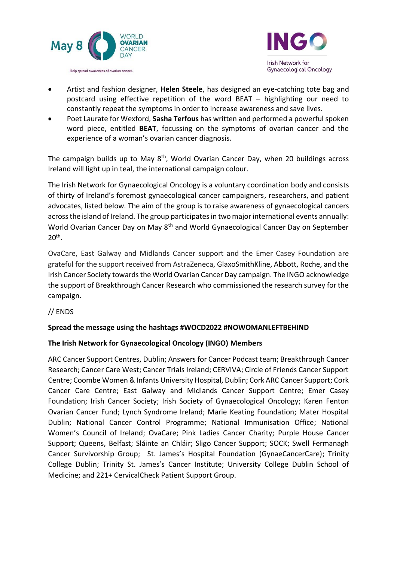



- Artist and fashion designer, **Helen Steele**, has designed an eye-catching tote bag and postcard using effective repetition of the word BEAT – highlighting our need to constantly repeat the symptoms in order to increase awareness and save lives.
- Poet Laurate for Wexford, **Sasha Terfous** has written and performed a powerful spoken word piece, entitled **BEAT**, focussing on the symptoms of ovarian cancer and the experience of a woman's ovarian cancer diagnosis.

The campaign builds up to May 8<sup>th</sup>, World Ovarian Cancer Day, when 20 buildings across Ireland will light up in teal, the international campaign colour.

The Irish Network for Gynaecological Oncology is a voluntary coordination body and consists of thirty of Ireland's foremost gynaecological cancer campaigners, researchers, and patient advocates, listed below. The aim of the group is to raise awareness of gynaecological cancers across the island of Ireland. The group participates in two major international events annually: World Ovarian Cancer Day on May 8<sup>th</sup> and World Gynaecological Cancer Day on September 20th .

OvaCare, East Galway and Midlands Cancer support and the Emer Casey Foundation are grateful for the support received from AstraZeneca, GlaxoSmithKline, Abbott, Roche, and the Irish Cancer Society towards the World Ovarian Cancer Day campaign. The INGO acknowledge the support of Breakthrough Cancer Research who commissioned the research survey for the campaign.

// ENDS

## **Spread the message using the hashtags #WOCD2022 #NOWOMANLEFTBEHIND**

## **The Irish Network for Gynaecological Oncology (INGO) Members**

ARC Cancer Support Centres, Dublin; Answers for Cancer Podcast team; Breakthrough Cancer Research; Cancer Care West; Cancer Trials Ireland; CERVIVA; Circle of Friends Cancer Support Centre; Coombe Women & Infants University Hospital, Dublin; Cork ARC Cancer Support; Cork Cancer Care Centre; East Galway and Midlands Cancer Support Centre; Emer Casey Foundation; Irish Cancer Society; Irish Society of Gynaecological Oncology; Karen Fenton Ovarian Cancer Fund; Lynch Syndrome Ireland; Marie Keating Foundation; Mater Hospital Dublin; National Cancer Control Programme; National Immunisation Office; National Women's Council of Ireland; OvaCare; Pink Ladies Cancer Charity; Purple House Cancer Support; Queens, Belfast; Sláinte an Chláir; Sligo Cancer Support; SOCK; Swell Fermanagh Cancer Survivorship Group; St. James's Hospital Foundation (GynaeCancerCare); Trinity College Dublin; Trinity St. James's Cancer Institute; University College Dublin School of Medicine; and 221+ CervicalCheck Patient Support Group.